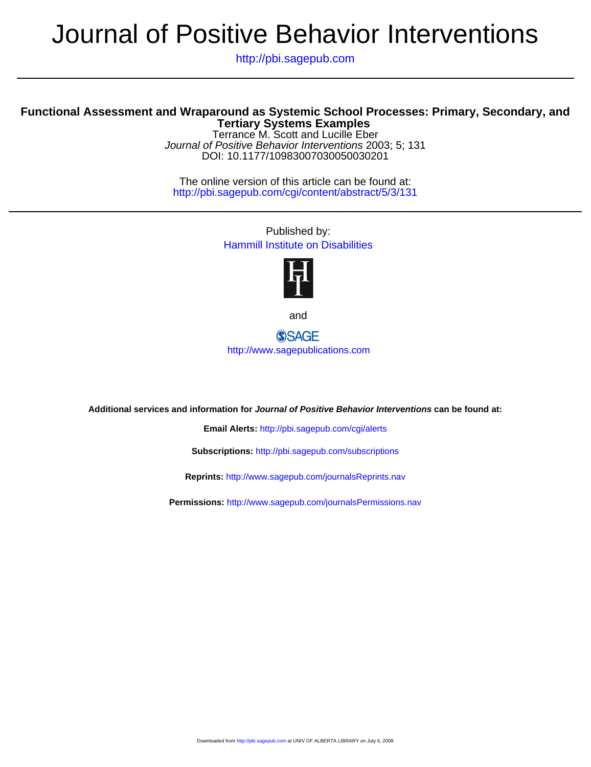# Journal of Positive Behavior Interventions

http://pbi.sagepub.com

# **Tertiary Systems Examples Functional Assessment and Wraparound as Systemic School Processes: Primary, Secondary, and**

DOI: 10.1177/10983007030050030201 Journal of Positive Behavior Interventions 2003; 5; 131 Terrance M. Scott and Lucille Eber

http://pbi.sagepub.com/cgi/content/abstract/5/3/131 The online version of this article can be found at:

> Published by: [Hammill Institute on Disabilities](http://www.hammill-institute.org)



and

**SSAGE** http://www.sagepublications.com

**Additional services and information for Journal of Positive Behavior Interventions can be found at:**

**Email Alerts:** <http://pbi.sagepub.com/cgi/alerts>

**Subscriptions:** <http://pbi.sagepub.com/subscriptions>

**Reprints:** <http://www.sagepub.com/journalsReprints.nav>

**Permissions:** <http://www.sagepub.com/journalsPermissions.nav>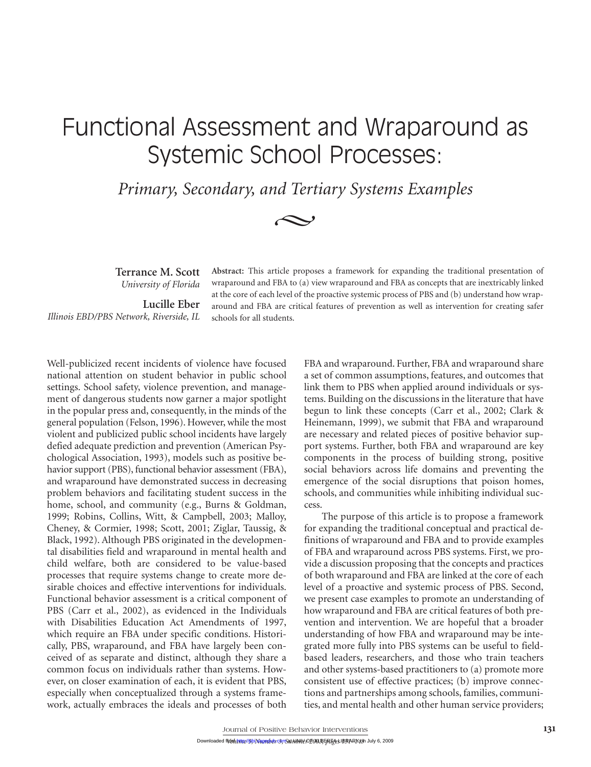# Functional Assessment and Wraparound as Systemic School Processes:

*Primary, Secondary, and Tertiary Systems Examples*



**Terrance M. Scott** *University of Florida*

**Lucille Eber** *Illinois EBD/PBS Network, Riverside, IL* **Abstract:** This article proposes a framework for expanding the traditional presentation of wraparound and FBA to (a) view wraparound and FBA as concepts that are inextricably linked at the core of each level of the proactive systemic process of PBS and (b) understand how wraparound and FBA are critical features of prevention as well as intervention for creating safer schools for all students.

Well-publicized recent incidents of violence have focused national attention on student behavior in public school settings. School safety, violence prevention, and management of dangerous students now garner a major spotlight in the popular press and, consequently, in the minds of the general population (Felson, 1996). However, while the most violent and publicized public school incidents have largely defied adequate prediction and prevention (American Psychological Association, 1993), models such as positive behavior support (PBS), functional behavior assessment (FBA), and wraparound have demonstrated success in decreasing problem behaviors and facilitating student success in the home, school, and community (e.g., Burns & Goldman, 1999; Robins, Collins, Witt, & Campbell, 2003; Malloy, Cheney, & Cormier, 1998; Scott, 2001; Ziglar, Taussig, & Black, 1992). Although PBS originated in the developmental disabilities field and wraparound in mental health and child welfare, both are considered to be value-based processes that require systems change to create more desirable choices and effective interventions for individuals. Functional behavior assessment is a critical component of PBS (Carr et al., 2002), as evidenced in the Individuals with Disabilities Education Act Amendments of 1997, which require an FBA under specific conditions. Historically, PBS, wraparound, and FBA have largely been conceived of as separate and distinct, although they share a common focus on individuals rather than systems. However, on closer examination of each, it is evident that PBS, especially when conceptualized through a systems framework, actually embraces the ideals and processes of both

FBA and wraparound. Further, FBA and wraparound share a set of common assumptions, features, and outcomes that link them to PBS when applied around individuals or systems. Building on the discussions in the literature that have begun to link these concepts (Carr et al., 2002; Clark & Heinemann, 1999), we submit that FBA and wraparound are necessary and related pieces of positive behavior support systems. Further, both FBA and wraparound are key components in the process of building strong, positive social behaviors across life domains and preventing the emergence of the social disruptions that poison homes, schools, and communities while inhibiting individual success.

The purpose of this article is to propose a framework for expanding the traditional conceptual and practical definitions of wraparound and FBA and to provide examples of FBA and wraparound across PBS systems. First, we provide a discussion proposing that the concepts and practices of both wraparound and FBA are linked at the core of each level of a proactive and systemic process of PBS. Second, we present case examples to promote an understanding of how wraparound and FBA are critical features of both prevention and intervention. We are hopeful that a broader understanding of how FBA and wraparound may be integrated more fully into PBS systems can be useful to fieldbased leaders, researchers, and those who train teachers and other systems-based practitioners to (a) promote more consistent use of effective practices; (b) improve connections and partnerships among schools, families, communities, and mental health and other human service providers;

Jou[rnal of Positive](http://pbi.sagepub.com) Behavior Interventions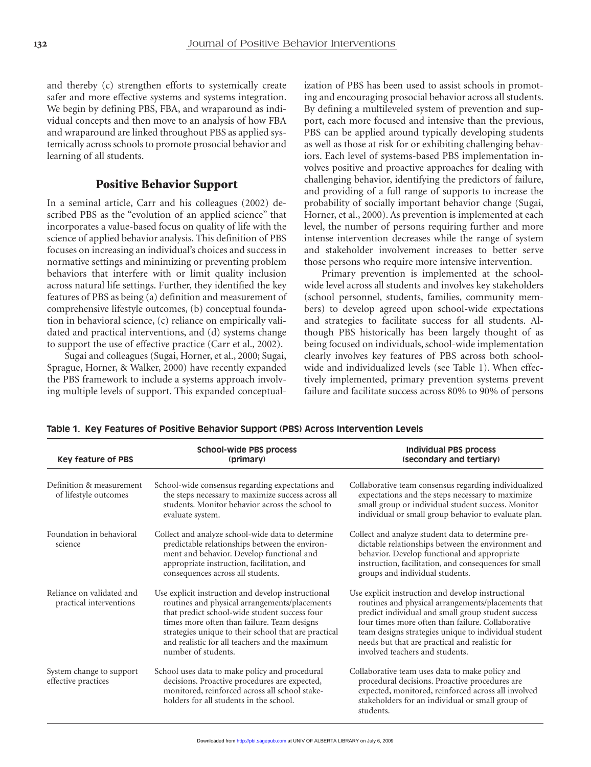and thereby (c) strengthen efforts to systemically create safer and more effective systems and systems integration. We begin by defining PBS, FBA, and wraparound as individual concepts and then move to an analysis of how FBA and wraparound are linked throughout PBS as applied systemically across schools to promote prosocial behavior and learning of all students.

# **Positive Behavior Support**

In a seminal article, Carr and his colleagues (2002) described PBS as the "evolution of an applied science" that incorporates a value-based focus on quality of life with the science of applied behavior analysis. This definition of PBS focuses on increasing an individual's choices and success in normative settings and minimizing or preventing problem behaviors that interfere with or limit quality inclusion across natural life settings. Further, they identified the key features of PBS as being (a) definition and measurement of comprehensive lifestyle outcomes, (b) conceptual foundation in behavioral science, (c) reliance on empirically validated and practical interventions, and (d) systems change to support the use of effective practice (Carr et al., 2002).

Sugai and colleagues (Sugai, Horner, et al., 2000; Sugai, Sprague, Horner, & Walker, 2000) have recently expanded the PBS framework to include a systems approach involving multiple levels of support. This expanded conceptualization of PBS has been used to assist schools in promoting and encouraging prosocial behavior across all students. By defining a multileveled system of prevention and support, each more focused and intensive than the previous, PBS can be applied around typically developing students as well as those at risk for or exhibiting challenging behaviors. Each level of systems-based PBS implementation involves positive and proactive approaches for dealing with challenging behavior, identifying the predictors of failure, and providing of a full range of supports to increase the probability of socially important behavior change (Sugai, Horner, et al., 2000). As prevention is implemented at each level, the number of persons requiring further and more intense intervention decreases while the range of system and stakeholder involvement increases to better serve those persons who require more intensive intervention.

Primary prevention is implemented at the schoolwide level across all students and involves key stakeholders (school personnel, students, families, community members) to develop agreed upon school-wide expectations and strategies to facilitate success for all students. Although PBS historically has been largely thought of as being focused on individuals, school-wide implementation clearly involves key features of PBS across both schoolwide and individualized levels (see Table 1). When effectively implemented, primary prevention systems prevent failure and facilitate success across 80% to 90% of persons

| <b>Key feature of PBS</b>                            | <b>School-wide PBS process</b><br>(primary)                                                                                                                                                                                                                                                                                          | <b>Individual PBS process</b><br>(secondary and tertiary)                                                                                                                                                                                                                                                                                                        |
|------------------------------------------------------|--------------------------------------------------------------------------------------------------------------------------------------------------------------------------------------------------------------------------------------------------------------------------------------------------------------------------------------|------------------------------------------------------------------------------------------------------------------------------------------------------------------------------------------------------------------------------------------------------------------------------------------------------------------------------------------------------------------|
| Definition & measurement<br>of lifestyle outcomes    | School-wide consensus regarding expectations and<br>the steps necessary to maximize success across all<br>students. Monitor behavior across the school to<br>evaluate system.                                                                                                                                                        | Collaborative team consensus regarding individualized<br>expectations and the steps necessary to maximize<br>small group or individual student success. Monitor<br>individual or small group behavior to evaluate plan.                                                                                                                                          |
| Foundation in behavioral<br>science                  | Collect and analyze school-wide data to determine<br>predictable relationships between the environ-<br>ment and behavior. Develop functional and<br>appropriate instruction, facilitation, and<br>consequences across all students.                                                                                                  | Collect and analyze student data to determine pre-<br>dictable relationships between the environment and<br>behavior. Develop functional and appropriate<br>instruction, facilitation, and consequences for small<br>groups and individual students.                                                                                                             |
| Reliance on validated and<br>practical interventions | Use explicit instruction and develop instructional<br>routines and physical arrangements/placements<br>that predict school-wide student success four<br>times more often than failure. Team designs<br>strategies unique to their school that are practical<br>and realistic for all teachers and the maximum<br>number of students. | Use explicit instruction and develop instructional<br>routines and physical arrangements/placements that<br>predict individual and small group student success<br>four times more often than failure. Collaborative<br>team designs strategies unique to individual student<br>needs but that are practical and realistic for<br>involved teachers and students. |
| System change to support<br>effective practices      | School uses data to make policy and procedural<br>decisions. Proactive procedures are expected,<br>monitored, reinforced across all school stake-<br>holders for all students in the school.                                                                                                                                         | Collaborative team uses data to make policy and<br>procedural decisions. Proactive procedures are<br>expected, monitored, reinforced across all involved<br>stakeholders for an individual or small group of<br>students.                                                                                                                                        |

**Table 1. Key Features of Positive Behavior Support (PBS) Across Intervention Levels**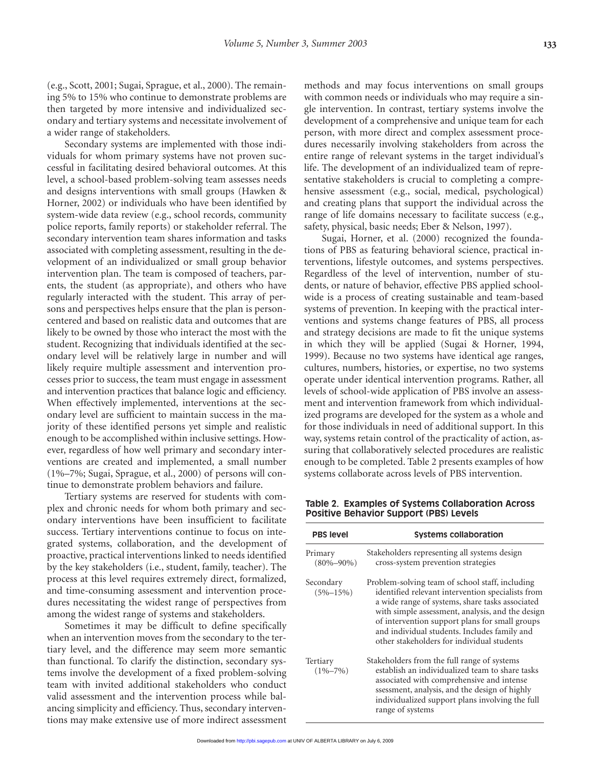(e.g., Scott, 2001; Sugai, Sprague, et al., 2000). The remaining 5% to 15% who continue to demonstrate problems are then targeted by more intensive and individualized secondary and tertiary systems and necessitate involvement of a wider range of stakeholders.

Secondary systems are implemented with those individuals for whom primary systems have not proven successful in facilitating desired behavioral outcomes. At this level, a school-based problem-solving team assesses needs and designs interventions with small groups (Hawken & Horner, 2002) or individuals who have been identified by system-wide data review (e.g., school records, community police reports, family reports) or stakeholder referral. The secondary intervention team shares information and tasks associated with completing assessment, resulting in the development of an individualized or small group behavior intervention plan. The team is composed of teachers, parents, the student (as appropriate), and others who have regularly interacted with the student. This array of persons and perspectives helps ensure that the plan is personcentered and based on realistic data and outcomes that are likely to be owned by those who interact the most with the student. Recognizing that individuals identified at the secondary level will be relatively large in number and will likely require multiple assessment and intervention processes prior to success, the team must engage in assessment and intervention practices that balance logic and efficiency. When effectively implemented, interventions at the secondary level are sufficient to maintain success in the majority of these identified persons yet simple and realistic enough to be accomplished within inclusive settings. However, regardless of how well primary and secondary interventions are created and implemented, a small number (1%–7%; Sugai, Sprague, et al., 2000) of persons will continue to demonstrate problem behaviors and failure.

Tertiary systems are reserved for students with complex and chronic needs for whom both primary and secondary interventions have been insufficient to facilitate success. Tertiary interventions continue to focus on integrated systems, collaboration, and the development of proactive, practical interventions linked to needs identified by the key stakeholders (i.e., student, family, teacher). The process at this level requires extremely direct, formalized, and time-consuming assessment and intervention procedures necessitating the widest range of perspectives from among the widest range of systems and stakeholders.

Sometimes it may be difficult to define specifically when an intervention moves from the secondary to the tertiary level, and the difference may seem more semantic than functional. To clarify the distinction, secondary systems involve the development of a fixed problem-solving team with invited additional stakeholders who conduct valid assessment and the intervention process while balancing simplicity and efficiency. Thus, secondary interventions may make extensive use of more indirect assessment methods and may focus interventions on small groups with common needs or individuals who may require a single intervention. In contrast, tertiary systems involve the development of a comprehensive and unique team for each person, with more direct and complex assessment procedures necessarily involving stakeholders from across the entire range of relevant systems in the target individual's life. The development of an individualized team of representative stakeholders is crucial to completing a comprehensive assessment (e.g., social, medical, psychological) and creating plans that support the individual across the range of life domains necessary to facilitate success (e.g., safety, physical, basic needs; Eber & Nelson, 1997).

Sugai, Horner, et al. (2000) recognized the foundations of PBS as featuring behavioral science, practical interventions, lifestyle outcomes, and systems perspectives. Regardless of the level of intervention, number of students, or nature of behavior, effective PBS applied schoolwide is a process of creating sustainable and team-based systems of prevention. In keeping with the practical interventions and systems change features of PBS, all process and strategy decisions are made to fit the unique systems in which they will be applied (Sugai & Horner, 1994, 1999). Because no two systems have identical age ranges, cultures, numbers, histories, or expertise, no two systems operate under identical intervention programs. Rather, all levels of school-wide application of PBS involve an assessment and intervention framework from which individualized programs are developed for the system as a whole and for those individuals in need of additional support. In this way, systems retain control of the practicality of action, assuring that collaboratively selected procedures are realistic enough to be completed. Table 2 presents examples of how systems collaborate across levels of PBS intervention.

**Table 2. Examples of Systems Collaboration Across Positive Behavior Support (PBS) Levels**

| <b>PBS level</b>            | <b>Systems collaboration</b>                                                                                                                                                                                                                                                                                                                                |
|-----------------------------|-------------------------------------------------------------------------------------------------------------------------------------------------------------------------------------------------------------------------------------------------------------------------------------------------------------------------------------------------------------|
| Primary<br>$(80\% - 90\%)$  | Stakeholders representing all systems design<br>cross-system prevention strategies                                                                                                                                                                                                                                                                          |
| Secondary<br>$(5\% - 15\%)$ | Problem-solving team of school staff, including<br>identified relevant intervention specialists from<br>a wide range of systems, share tasks associated<br>with simple assessment, analysis, and the design<br>of intervention support plans for small groups<br>and individual students. Includes family and<br>other stakeholders for individual students |
| Tertiary<br>$(1\% - 7\%)$   | Stakeholders from the full range of systems<br>establish an individualized team to share tasks<br>associated with comprehensive and intense<br>ssessment, analysis, and the design of highly<br>individualized support plans involving the full<br>range of systems                                                                                         |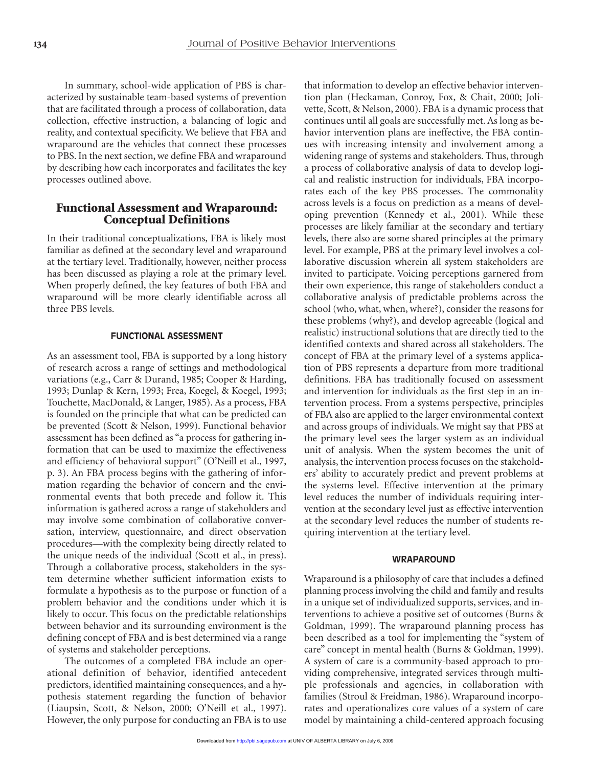In summary, school-wide application of PBS is characterized by sustainable team-based systems of prevention that are facilitated through a process of collaboration, data collection, effective instruction, a balancing of logic and reality, and contextual specificity. We believe that FBA and wraparound are the vehicles that connect these processes to PBS. In the next section, we define FBA and wraparound by describing how each incorporates and facilitates the key processes outlined above.

# **Functional Assessment and Wraparound: Conceptual Definitions**

In their traditional conceptualizations, FBA is likely most familiar as defined at the secondary level and wraparound at the tertiary level. Traditionally, however, neither process has been discussed as playing a role at the primary level. When properly defined, the key features of both FBA and wraparound will be more clearly identifiable across all three PBS levels.

#### **FUNCTIONAL ASSESSMENT**

As an assessment tool, FBA is supported by a long history of research across a range of settings and methodological variations (e.g., Carr & Durand, 1985; Cooper & Harding, 1993; Dunlap & Kern, 1993; Frea, Koegel, & Koegel, 1993; Touchette, MacDonald, & Langer, 1985). As a process, FBA is founded on the principle that what can be predicted can be prevented (Scott & Nelson, 1999). Functional behavior assessment has been defined as "a process for gathering information that can be used to maximize the effectiveness and efficiency of behavioral support" (O'Neill et al., 1997, p. 3). An FBA process begins with the gathering of information regarding the behavior of concern and the environmental events that both precede and follow it. This information is gathered across a range of stakeholders and may involve some combination of collaborative conversation, interview, questionnaire, and direct observation procedures—with the complexity being directly related to the unique needs of the individual (Scott et al., in press). Through a collaborative process, stakeholders in the system determine whether sufficient information exists to formulate a hypothesis as to the purpose or function of a problem behavior and the conditions under which it is likely to occur. This focus on the predictable relationships between behavior and its surrounding environment is the defining concept of FBA and is best determined via a range of systems and stakeholder perceptions.

The outcomes of a completed FBA include an operational definition of behavior, identified antecedent predictors, identified maintaining consequences, and a hypothesis statement regarding the function of behavior (Liaupsin, Scott, & Nelson, 2000; O'Neill et al., 1997). However, the only purpose for conducting an FBA is to use

that information to develop an effective behavior intervention plan (Heckaman, Conroy, Fox, & Chait, 2000; Jolivette, Scott, & Nelson, 2000). FBA is a dynamic process that continues until all goals are successfully met. As long as behavior intervention plans are ineffective, the FBA continues with increasing intensity and involvement among a widening range of systems and stakeholders. Thus, through a process of collaborative analysis of data to develop logical and realistic instruction for individuals, FBA incorporates each of the key PBS processes. The commonality across levels is a focus on prediction as a means of developing prevention (Kennedy et al., 2001). While these processes are likely familiar at the secondary and tertiary levels, there also are some shared principles at the primary level. For example, PBS at the primary level involves a collaborative discussion wherein all system stakeholders are invited to participate. Voicing perceptions garnered from their own experience, this range of stakeholders conduct a collaborative analysis of predictable problems across the school (who, what, when, where?), consider the reasons for these problems (why?), and develop agreeable (logical and realistic) instructional solutions that are directly tied to the identified contexts and shared across all stakeholders. The concept of FBA at the primary level of a systems application of PBS represents a departure from more traditional definitions. FBA has traditionally focused on assessment and intervention for individuals as the first step in an intervention process. From a systems perspective, principles of FBA also are applied to the larger environmental context and across groups of individuals. We might say that PBS at the primary level sees the larger system as an individual unit of analysis. When the system becomes the unit of analysis, the intervention process focuses on the stakeholders' ability to accurately predict and prevent problems at the systems level. Effective intervention at the primary level reduces the number of individuals requiring intervention at the secondary level just as effective intervention at the secondary level reduces the number of students requiring intervention at the tertiary level.

#### **WRAPAROUND**

Wraparound is a philosophy of care that includes a defined planning process involving the child and family and results in a unique set of individualized supports, services, and interventions to achieve a positive set of outcomes (Burns & Goldman, 1999). The wraparound planning process has been described as a tool for implementing the "system of care" concept in mental health (Burns & Goldman, 1999). A system of care is a community-based approach to providing comprehensive, integrated services through multiple professionals and agencies, in collaboration with families (Stroul & Freidman, 1986). Wraparound incorporates and operationalizes core values of a system of care model by maintaining a child-centered approach focusing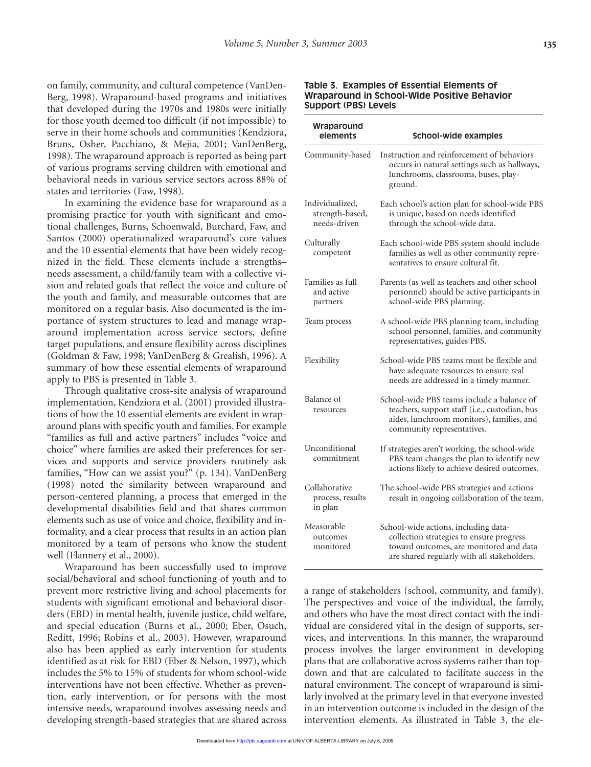on family, community, and cultural competence (VanDen-Berg, 1998). Wraparound-based programs and initiatives that developed during the 1970s and 1980s were initially for those youth deemed too difficult (if not impossible) to serve in their home schools and communities (Kendziora, Bruns, Osher, Pacchiano, & Mejia, 2001; VanDenBerg, 1998). The wraparound approach is reported as being part of various programs serving children with emotional and behavioral needs in various service sectors across 88% of states and territories (Faw, 1998).

In examining the evidence base for wraparound as a promising practice for youth with significant and emotional challenges, Burns, Schoenwald, Burchard, Faw, and Santos (2000) operationalized wraparound's core values and the 10 essential elements that have been widely recognized in the field. These elements include a strengths– needs assessment, a child/family team with a collective vision and related goals that reflect the voice and culture of the youth and family, and measurable outcomes that are monitored on a regular basis. Also documented is the importance of system structures to lead and manage wraparound implementation across service sectors, define target populations, and ensure flexibility across disciplines (Goldman & Faw, 1998; VanDenBerg & Grealish, 1996). A summary of how these essential elements of wraparound apply to PBS is presented in Table 3.

Through qualitative cross-site analysis of wraparound implementation, Kendziora et al. (2001) provided illustrations of how the 10 essential elements are evident in wraparound plans with specific youth and families. For example "families as full and active partners" includes "voice and choice" where families are asked their preferences for services and supports and service providers routinely ask families, "How can we assist you?" (p. 134). VanDenBerg (1998) noted the similarity between wraparound and person-centered planning, a process that emerged in the developmental disabilities field and that shares common elements such as use of voice and choice, flexibility and informality, and a clear process that results in an action plan monitored by a team of persons who know the student well (Flannery et al., 2000).

Wraparound has been successfully used to improve social/behavioral and school functioning of youth and to prevent more restrictive living and school placements for students with significant emotional and behavioral disorders (EBD) in mental health, juvenile justice, child welfare, and special education (Burns et al., 2000; Eber, Osuch, Reditt, 1996; Robins et al., 2003). However, wraparound also has been applied as early intervention for students identified as at risk for EBD (Eber & Nelson, 1997), which includes the 5% to 15% of students for whom school-wide interventions have not been effective. Whether as prevention, early intervention, or for persons with the most intensive needs, wraparound involves assessing needs and developing strength-based strategies that are shared across

#### **Table 3. Examples of Essential Elements of Wraparound in School-Wide Positive Behavior Support (PBS) Levels**

| Wraparound<br>elements                             | School-wide examples                                                                                                                                                       |
|----------------------------------------------------|----------------------------------------------------------------------------------------------------------------------------------------------------------------------------|
| Community-based                                    | Instruction and reinforcement of behaviors<br>occurs in natural settings such as hallways,<br>lunchrooms, classrooms, buses, play-<br>ground.                              |
| Individualized,<br>strength-based,<br>needs-driven | Each school's action plan for school-wide PBS<br>is unique, based on needs identified<br>through the school-wide data.                                                     |
| Culturally<br>competent                            | Each school-wide PBS system should include<br>families as well as other community repre-<br>sentatives to ensure cultural fit.                                             |
| Families as full<br>and active<br>partners         | Parents (as well as teachers and other school<br>personnel) should be active participants in<br>school-wide PBS planning.                                                  |
| Team process                                       | A school-wide PBS planning team, including<br>school personnel, families, and community<br>representatives, guides PBS.                                                    |
| Flexibility                                        | School-wide PBS teams must be flexible and<br>have adequate resources to ensure real<br>needs are addressed in a timely manner.                                            |
| Balance of<br>resources                            | School-wide PBS teams include a balance of<br>teachers, support staff (i.e., custodian, bus<br>aides, lunchroom monitors), families, and<br>community representatives.     |
| Unconditional<br>commitment                        | If strategies aren't working, the school-wide<br>PBS team changes the plan to identify new<br>actions likely to achieve desired outcomes.                                  |
| Collaborative<br>process, results<br>in plan       | The school-wide PBS strategies and actions<br>result in ongoing collaboration of the team.                                                                                 |
| Measurable<br>outcomes<br>monitored                | School-wide actions, including data-<br>collection strategies to ensure progress<br>toward outcomes, are monitored and data<br>are shared regularly with all stakeholders. |

a range of stakeholders (school, community, and family). The perspectives and voice of the individual, the family, and others who have the most direct contact with the individual are considered vital in the design of supports, services, and interventions. In this manner, the wraparound process involves the larger environment in developing plans that are collaborative across systems rather than topdown and that are calculated to facilitate success in the natural environment. The concept of wraparound is similarly involved at the primary level in that everyone invested in an intervention outcome is included in the design of the intervention elements. As illustrated in Table 3, the ele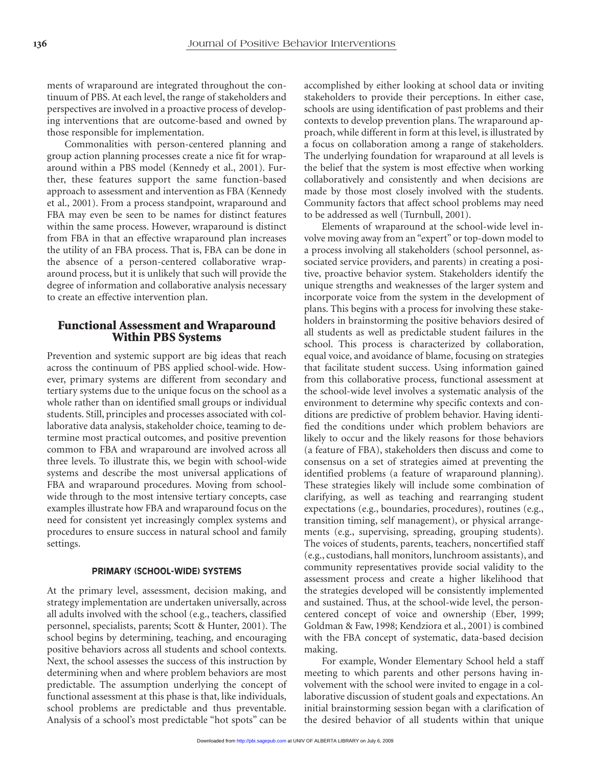ments of wraparound are integrated throughout the continuum of PBS. At each level, the range of stakeholders and perspectives are involved in a proactive process of developing interventions that are outcome-based and owned by those responsible for implementation.

Commonalities with person-centered planning and group action planning processes create a nice fit for wraparound within a PBS model (Kennedy et al., 2001). Further, these features support the same function-based approach to assessment and intervention as FBA (Kennedy et al., 2001). From a process standpoint, wraparound and FBA may even be seen to be names for distinct features within the same process. However, wraparound is distinct from FBA in that an effective wraparound plan increases the utility of an FBA process. That is, FBA can be done in the absence of a person-centered collaborative wraparound process, but it is unlikely that such will provide the degree of information and collaborative analysis necessary to create an effective intervention plan.

## **Functional Assessment and Wraparound Within PBS Systems**

Prevention and systemic support are big ideas that reach across the continuum of PBS applied school-wide. However, primary systems are different from secondary and tertiary systems due to the unique focus on the school as a whole rather than on identified small groups or individual students. Still, principles and processes associated with collaborative data analysis, stakeholder choice, teaming to determine most practical outcomes, and positive prevention common to FBA and wraparound are involved across all three levels. To illustrate this, we begin with school-wide systems and describe the most universal applications of FBA and wraparound procedures. Moving from schoolwide through to the most intensive tertiary concepts, case examples illustrate how FBA and wraparound focus on the need for consistent yet increasingly complex systems and procedures to ensure success in natural school and family settings.

#### **PRIMARY (SCHOOL-WIDE) SYSTEMS**

At the primary level, assessment, decision making, and strategy implementation are undertaken universally, across all adults involved with the school (e.g., teachers, classified personnel, specialists, parents; Scott & Hunter, 2001). The school begins by determining, teaching, and encouraging positive behaviors across all students and school contexts. Next, the school assesses the success of this instruction by determining when and where problem behaviors are most predictable. The assumption underlying the concept of functional assessment at this phase is that, like individuals, school problems are predictable and thus preventable. Analysis of a school's most predictable "hot spots" can be

accomplished by either looking at school data or inviting stakeholders to provide their perceptions. In either case, schools are using identification of past problems and their contexts to develop prevention plans. The wraparound approach, while different in form at this level, is illustrated by a focus on collaboration among a range of stakeholders. The underlying foundation for wraparound at all levels is the belief that the system is most effective when working collaboratively and consistently and when decisions are made by those most closely involved with the students. Community factors that affect school problems may need to be addressed as well (Turnbull, 2001).

Elements of wraparound at the school-wide level involve moving away from an "expert" or top-down model to a process involving all stakeholders (school personnel, associated service providers, and parents) in creating a positive, proactive behavior system. Stakeholders identify the unique strengths and weaknesses of the larger system and incorporate voice from the system in the development of plans. This begins with a process for involving these stakeholders in brainstorming the positive behaviors desired of all students as well as predictable student failures in the school. This process is characterized by collaboration, equal voice, and avoidance of blame, focusing on strategies that facilitate student success. Using information gained from this collaborative process, functional assessment at the school-wide level involves a systematic analysis of the environment to determine why specific contexts and conditions are predictive of problem behavior. Having identified the conditions under which problem behaviors are likely to occur and the likely reasons for those behaviors (a feature of FBA), stakeholders then discuss and come to consensus on a set of strategies aimed at preventing the identified problems (a feature of wraparound planning). These strategies likely will include some combination of clarifying, as well as teaching and rearranging student expectations (e.g., boundaries, procedures), routines (e.g., transition timing, self management), or physical arrangements (e.g., supervising, spreading, grouping students). The voices of students, parents, teachers, noncertified staff (e.g., custodians, hall monitors, lunchroom assistants), and community representatives provide social validity to the assessment process and create a higher likelihood that the strategies developed will be consistently implemented and sustained. Thus, at the school-wide level, the personcentered concept of voice and ownership (Eber, 1999; Goldman & Faw, 1998; Kendziora et al., 2001) is combined with the FBA concept of systematic, data-based decision making.

For example, Wonder Elementary School held a staff meeting to which parents and other persons having involvement with the school were invited to engage in a collaborative discussion of student goals and expectations. An initial brainstorming session began with a clarification of the desired behavior of all students within that unique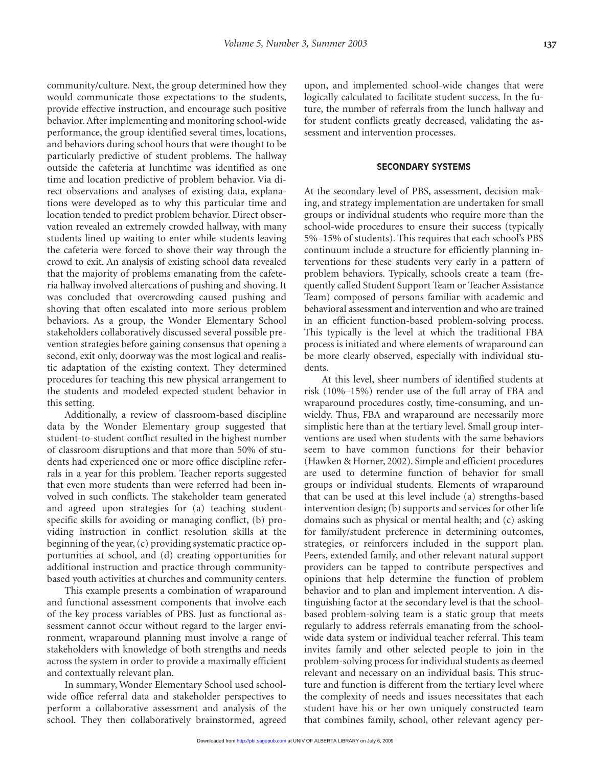community/culture. Next, the group determined how they would communicate those expectations to the students, provide effective instruction, and encourage such positive behavior. After implementing and monitoring school-wide performance, the group identified several times, locations, and behaviors during school hours that were thought to be particularly predictive of student problems. The hallway outside the cafeteria at lunchtime was identified as one time and location predictive of problem behavior. Via direct observations and analyses of existing data, explanations were developed as to why this particular time and location tended to predict problem behavior. Direct observation revealed an extremely crowded hallway, with many students lined up waiting to enter while students leaving the cafeteria were forced to shove their way through the crowd to exit. An analysis of existing school data revealed that the majority of problems emanating from the cafeteria hallway involved altercations of pushing and shoving. It was concluded that overcrowding caused pushing and shoving that often escalated into more serious problem behaviors. As a group, the Wonder Elementary School stakeholders collaboratively discussed several possible prevention strategies before gaining consensus that opening a second, exit only, doorway was the most logical and realistic adaptation of the existing context. They determined procedures for teaching this new physical arrangement to the students and modeled expected student behavior in this setting.

Additionally, a review of classroom-based discipline data by the Wonder Elementary group suggested that student-to-student conflict resulted in the highest number of classroom disruptions and that more than 50% of students had experienced one or more office discipline referrals in a year for this problem. Teacher reports suggested that even more students than were referred had been involved in such conflicts. The stakeholder team generated and agreed upon strategies for (a) teaching studentspecific skills for avoiding or managing conflict, (b) providing instruction in conflict resolution skills at the beginning of the year, (c) providing systematic practice opportunities at school, and (d) creating opportunities for additional instruction and practice through communitybased youth activities at churches and community centers.

This example presents a combination of wraparound and functional assessment components that involve each of the key process variables of PBS. Just as functional assessment cannot occur without regard to the larger environment, wraparound planning must involve a range of stakeholders with knowledge of both strengths and needs across the system in order to provide a maximally efficient and contextually relevant plan.

In summary, Wonder Elementary School used schoolwide office referral data and stakeholder perspectives to perform a collaborative assessment and analysis of the school. They then collaboratively brainstormed, agreed upon, and implemented school-wide changes that were logically calculated to facilitate student success. In the future, the number of referrals from the lunch hallway and for student conflicts greatly decreased, validating the assessment and intervention processes.

#### **SECONDARY SYSTEMS**

At the secondary level of PBS, assessment, decision making, and strategy implementation are undertaken for small groups or individual students who require more than the school-wide procedures to ensure their success (typically 5%–15% of students). This requires that each school's PBS continuum include a structure for efficiently planning interventions for these students very early in a pattern of problem behaviors. Typically, schools create a team (frequently called Student Support Team or Teacher Assistance Team) composed of persons familiar with academic and behavioral assessment and intervention and who are trained in an efficient function-based problem-solving process. This typically is the level at which the traditional FBA process is initiated and where elements of wraparound can be more clearly observed, especially with individual students.

At this level, sheer numbers of identified students at risk (10%–15%) render use of the full array of FBA and wraparound procedures costly, time-consuming, and unwieldy. Thus, FBA and wraparound are necessarily more simplistic here than at the tertiary level. Small group interventions are used when students with the same behaviors seem to have common functions for their behavior (Hawken & Horner, 2002). Simple and efficient procedures are used to determine function of behavior for small groups or individual students. Elements of wraparound that can be used at this level include (a) strengths-based intervention design; (b) supports and services for other life domains such as physical or mental health; and (c) asking for family/student preference in determining outcomes, strategies, or reinforcers included in the support plan. Peers, extended family, and other relevant natural support providers can be tapped to contribute perspectives and opinions that help determine the function of problem behavior and to plan and implement intervention. A distinguishing factor at the secondary level is that the schoolbased problem-solving team is a static group that meets regularly to address referrals emanating from the schoolwide data system or individual teacher referral. This team invites family and other selected people to join in the problem-solving process for individual students as deemed relevant and necessary on an individual basis. This structure and function is different from the tertiary level where the complexity of needs and issues necessitates that each student have his or her own uniquely constructed team that combines family, school, other relevant agency per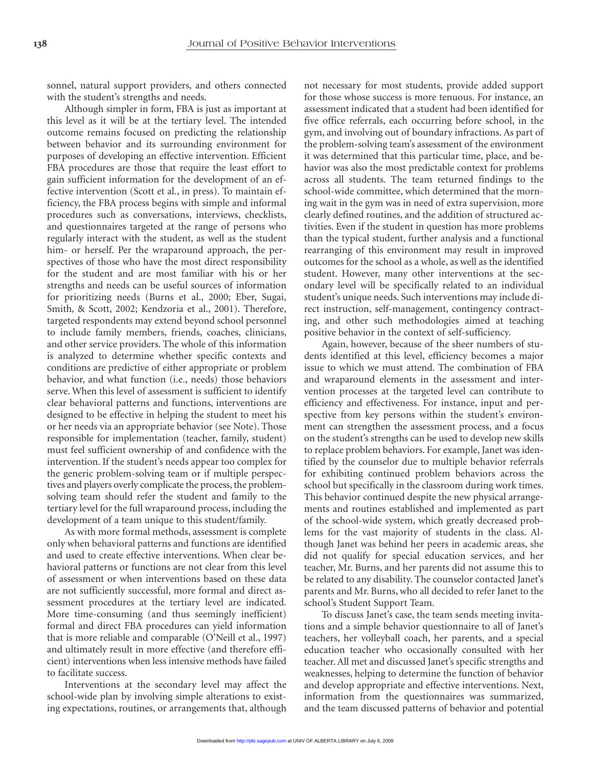sonnel, natural support providers, and others connected with the student's strengths and needs.

Although simpler in form, FBA is just as important at this level as it will be at the tertiary level. The intended outcome remains focused on predicting the relationship between behavior and its surrounding environment for purposes of developing an effective intervention. Efficient FBA procedures are those that require the least effort to gain sufficient information for the development of an effective intervention (Scott et al., in press). To maintain efficiency, the FBA process begins with simple and informal procedures such as conversations, interviews, checklists, and questionnaires targeted at the range of persons who regularly interact with the student, as well as the student him- or herself. Per the wraparound approach, the perspectives of those who have the most direct responsibility for the student and are most familiar with his or her strengths and needs can be useful sources of information for prioritizing needs (Burns et al., 2000; Eber, Sugai, Smith, & Scott, 2002; Kendzoria et al., 2001). Therefore, targeted respondents may extend beyond school personnel to include family members, friends, coaches, clinicians, and other service providers. The whole of this information is analyzed to determine whether specific contexts and conditions are predictive of either appropriate or problem behavior, and what function (i.e., needs) those behaviors serve. When this level of assessment is sufficient to identify clear behavioral patterns and functions, interventions are designed to be effective in helping the student to meet his or her needs via an appropriate behavior (see Note). Those responsible for implementation (teacher, family, student) must feel sufficient ownership of and confidence with the intervention. If the student's needs appear too complex for the generic problem-solving team or if multiple perspectives and players overly complicate the process, the problemsolving team should refer the student and family to the tertiary level for the full wraparound process, including the development of a team unique to this student/family.

As with more formal methods, assessment is complete only when behavioral patterns and functions are identified and used to create effective interventions. When clear behavioral patterns or functions are not clear from this level of assessment or when interventions based on these data are not sufficiently successful, more formal and direct assessment procedures at the tertiary level are indicated. More time-consuming (and thus seemingly inefficient) formal and direct FBA procedures can yield information that is more reliable and comparable (O'Neill et al., 1997) and ultimately result in more effective (and therefore efficient) interventions when less intensive methods have failed to facilitate success.

Interventions at the secondary level may affect the school-wide plan by involving simple alterations to existing expectations, routines, or arrangements that, although

not necessary for most students, provide added support for those whose success is more tenuous. For instance, an assessment indicated that a student had been identified for five office referrals, each occurring before school, in the gym, and involving out of boundary infractions. As part of the problem-solving team's assessment of the environment it was determined that this particular time, place, and behavior was also the most predictable context for problems across all students. The team returned findings to the school-wide committee, which determined that the morning wait in the gym was in need of extra supervision, more clearly defined routines, and the addition of structured activities. Even if the student in question has more problems than the typical student, further analysis and a functional rearranging of this environment may result in improved outcomes for the school as a whole, as well as the identified student. However, many other interventions at the secondary level will be specifically related to an individual student's unique needs. Such interventions may include direct instruction, self-management, contingency contracting, and other such methodologies aimed at teaching positive behavior in the context of self-sufficiency.

Again, however, because of the sheer numbers of students identified at this level, efficiency becomes a major issue to which we must attend. The combination of FBA and wraparound elements in the assessment and intervention processes at the targeted level can contribute to efficiency and effectiveness. For instance, input and perspective from key persons within the student's environment can strengthen the assessment process, and a focus on the student's strengths can be used to develop new skills to replace problem behaviors. For example, Janet was identified by the counselor due to multiple behavior referrals for exhibiting continued problem behaviors across the school but specifically in the classroom during work times. This behavior continued despite the new physical arrangements and routines established and implemented as part of the school-wide system, which greatly decreased problems for the vast majority of students in the class. Although Janet was behind her peers in academic areas, she did not qualify for special education services, and her teacher, Mr. Burns, and her parents did not assume this to be related to any disability. The counselor contacted Janet's parents and Mr. Burns, who all decided to refer Janet to the school's Student Support Team.

To discuss Janet's case, the team sends meeting invitations and a simple behavior questionnaire to all of Janet's teachers, her volleyball coach, her parents, and a special education teacher who occasionally consulted with her teacher. All met and discussed Janet's specific strengths and weaknesses, helping to determine the function of behavior and develop appropriate and effective interventions. Next, information from the questionnaires was summarized, and the team discussed patterns of behavior and potential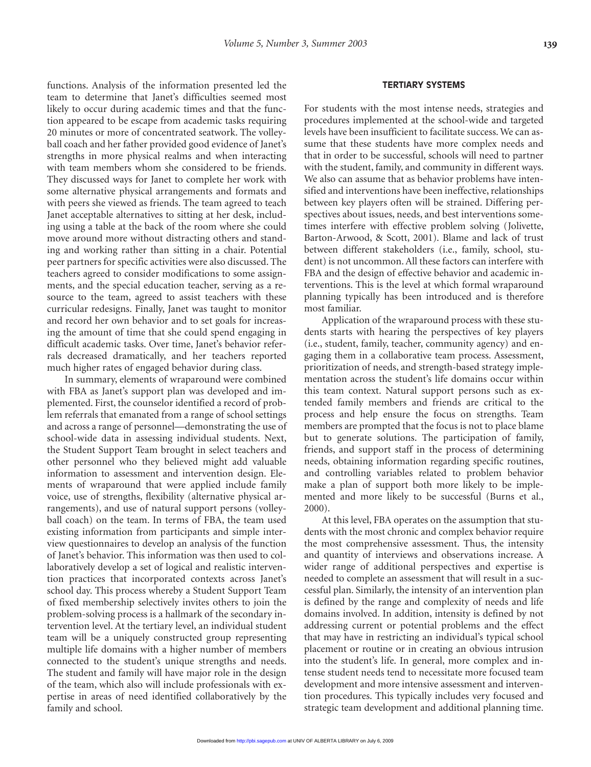functions. Analysis of the information presented led the team to determine that Janet's difficulties seemed most likely to occur during academic times and that the function appeared to be escape from academic tasks requiring 20 minutes or more of concentrated seatwork. The volleyball coach and her father provided good evidence of Janet's strengths in more physical realms and when interacting with team members whom she considered to be friends. They discussed ways for Janet to complete her work with some alternative physical arrangements and formats and with peers she viewed as friends. The team agreed to teach Janet acceptable alternatives to sitting at her desk, including using a table at the back of the room where she could move around more without distracting others and standing and working rather than sitting in a chair. Potential peer partners for specific activities were also discussed. The teachers agreed to consider modifications to some assignments, and the special education teacher, serving as a resource to the team, agreed to assist teachers with these curricular redesigns. Finally, Janet was taught to monitor and record her own behavior and to set goals for increasing the amount of time that she could spend engaging in difficult academic tasks. Over time, Janet's behavior referrals decreased dramatically, and her teachers reported much higher rates of engaged behavior during class.

In summary, elements of wraparound were combined with FBA as Janet's support plan was developed and implemented. First, the counselor identified a record of problem referrals that emanated from a range of school settings and across a range of personnel—demonstrating the use of school-wide data in assessing individual students. Next, the Student Support Team brought in select teachers and other personnel who they believed might add valuable information to assessment and intervention design. Elements of wraparound that were applied include family voice, use of strengths, flexibility (alternative physical arrangements), and use of natural support persons (volleyball coach) on the team. In terms of FBA, the team used existing information from participants and simple interview questionnaires to develop an analysis of the function of Janet's behavior. This information was then used to collaboratively develop a set of logical and realistic intervention practices that incorporated contexts across Janet's school day. This process whereby a Student Support Team of fixed membership selectively invites others to join the problem-solving process is a hallmark of the secondary intervention level. At the tertiary level, an individual student team will be a uniquely constructed group representing multiple life domains with a higher number of members connected to the student's unique strengths and needs. The student and family will have major role in the design of the team, which also will include professionals with expertise in areas of need identified collaboratively by the family and school.

#### **TERTIARY SYSTEMS**

For students with the most intense needs, strategies and procedures implemented at the school-wide and targeted levels have been insufficient to facilitate success. We can assume that these students have more complex needs and that in order to be successful, schools will need to partner with the student, family, and community in different ways. We also can assume that as behavior problems have intensified and interventions have been ineffective, relationships between key players often will be strained. Differing perspectives about issues, needs, and best interventions sometimes interfere with effective problem solving (Jolivette, Barton-Arwood, & Scott, 2001). Blame and lack of trust between different stakeholders (i.e., family, school, student) is not uncommon. All these factors can interfere with FBA and the design of effective behavior and academic interventions. This is the level at which formal wraparound planning typically has been introduced and is therefore most familiar.

Application of the wraparound process with these students starts with hearing the perspectives of key players (i.e., student, family, teacher, community agency) and engaging them in a collaborative team process. Assessment, prioritization of needs, and strength-based strategy implementation across the student's life domains occur within this team context. Natural support persons such as extended family members and friends are critical to the process and help ensure the focus on strengths. Team members are prompted that the focus is not to place blame but to generate solutions. The participation of family, friends, and support staff in the process of determining needs, obtaining information regarding specific routines, and controlling variables related to problem behavior make a plan of support both more likely to be implemented and more likely to be successful (Burns et al., 2000).

At this level, FBA operates on the assumption that students with the most chronic and complex behavior require the most comprehensive assessment. Thus, the intensity and quantity of interviews and observations increase. A wider range of additional perspectives and expertise is needed to complete an assessment that will result in a successful plan. Similarly, the intensity of an intervention plan is defined by the range and complexity of needs and life domains involved. In addition, intensity is defined by not addressing current or potential problems and the effect that may have in restricting an individual's typical school placement or routine or in creating an obvious intrusion into the student's life. In general, more complex and intense student needs tend to necessitate more focused team development and more intensive assessment and intervention procedures. This typically includes very focused and strategic team development and additional planning time.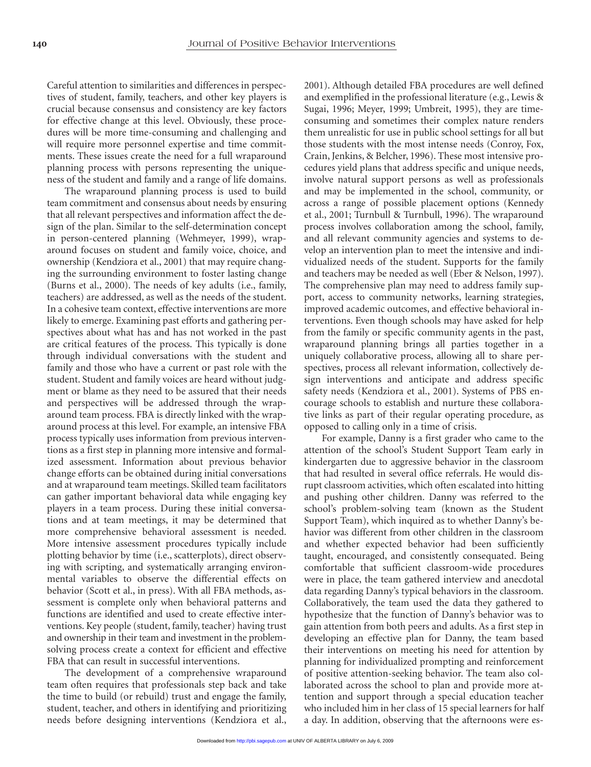Careful attention to similarities and differences in perspectives of student, family, teachers, and other key players is crucial because consensus and consistency are key factors for effective change at this level. Obviously, these procedures will be more time-consuming and challenging and will require more personnel expertise and time commitments. These issues create the need for a full wraparound planning process with persons representing the uniqueness of the student and family and a range of life domains.

The wraparound planning process is used to build team commitment and consensus about needs by ensuring that all relevant perspectives and information affect the design of the plan. Similar to the self-determination concept in person-centered planning (Wehmeyer, 1999), wraparound focuses on student and family voice, choice, and ownership (Kendziora et al., 2001) that may require changing the surrounding environment to foster lasting change (Burns et al., 2000). The needs of key adults (i.e., family, teachers) are addressed, as well as the needs of the student. In a cohesive team context, effective interventions are more likely to emerge. Examining past efforts and gathering perspectives about what has and has not worked in the past are critical features of the process. This typically is done through individual conversations with the student and family and those who have a current or past role with the student. Student and family voices are heard without judgment or blame as they need to be assured that their needs and perspectives will be addressed through the wraparound team process. FBA is directly linked with the wraparound process at this level. For example, an intensive FBA process typically uses information from previous interventions as a first step in planning more intensive and formalized assessment. Information about previous behavior change efforts can be obtained during initial conversations and at wraparound team meetings. Skilled team facilitators can gather important behavioral data while engaging key players in a team process. During these initial conversations and at team meetings, it may be determined that more comprehensive behavioral assessment is needed. More intensive assessment procedures typically include plotting behavior by time (i.e., scatterplots), direct observing with scripting, and systematically arranging environmental variables to observe the differential effects on behavior (Scott et al., in press). With all FBA methods, assessment is complete only when behavioral patterns and functions are identified and used to create effective interventions. Key people (student, family, teacher) having trust and ownership in their team and investment in the problemsolving process create a context for efficient and effective FBA that can result in successful interventions.

The development of a comprehensive wraparound team often requires that professionals step back and take the time to build (or rebuild) trust and engage the family, student, teacher, and others in identifying and prioritizing needs before designing interventions (Kendziora et al.,

2001). Although detailed FBA procedures are well defined and exemplified in the professional literature (e.g., Lewis & Sugai, 1996; Meyer, 1999; Umbreit, 1995), they are timeconsuming and sometimes their complex nature renders them unrealistic for use in public school settings for all but those students with the most intense needs (Conroy, Fox, Crain, Jenkins, & Belcher, 1996). These most intensive procedures yield plans that address specific and unique needs, involve natural support persons as well as professionals and may be implemented in the school, community, or across a range of possible placement options (Kennedy et al., 2001; Turnbull & Turnbull, 1996). The wraparound process involves collaboration among the school, family, and all relevant community agencies and systems to develop an intervention plan to meet the intensive and individualized needs of the student. Supports for the family and teachers may be needed as well (Eber & Nelson, 1997). The comprehensive plan may need to address family support, access to community networks, learning strategies, improved academic outcomes, and effective behavioral interventions. Even though schools may have asked for help from the family or specific community agents in the past, wraparound planning brings all parties together in a uniquely collaborative process, allowing all to share perspectives, process all relevant information, collectively design interventions and anticipate and address specific safety needs (Kendziora et al., 2001). Systems of PBS encourage schools to establish and nurture these collaborative links as part of their regular operating procedure, as opposed to calling only in a time of crisis.

For example, Danny is a first grader who came to the attention of the school's Student Support Team early in kindergarten due to aggressive behavior in the classroom that had resulted in several office referrals. He would disrupt classroom activities, which often escalated into hitting and pushing other children. Danny was referred to the school's problem-solving team (known as the Student Support Team), which inquired as to whether Danny's behavior was different from other children in the classroom and whether expected behavior had been sufficiently taught, encouraged, and consistently consequated. Being comfortable that sufficient classroom-wide procedures were in place, the team gathered interview and anecdotal data regarding Danny's typical behaviors in the classroom. Collaboratively, the team used the data they gathered to hypothesize that the function of Danny's behavior was to gain attention from both peers and adults. As a first step in developing an effective plan for Danny, the team based their interventions on meeting his need for attention by planning for individualized prompting and reinforcement of positive attention-seeking behavior. The team also collaborated across the school to plan and provide more attention and support through a special education teacher who included him in her class of 15 special learners for half a day. In addition, observing that the afternoons were es-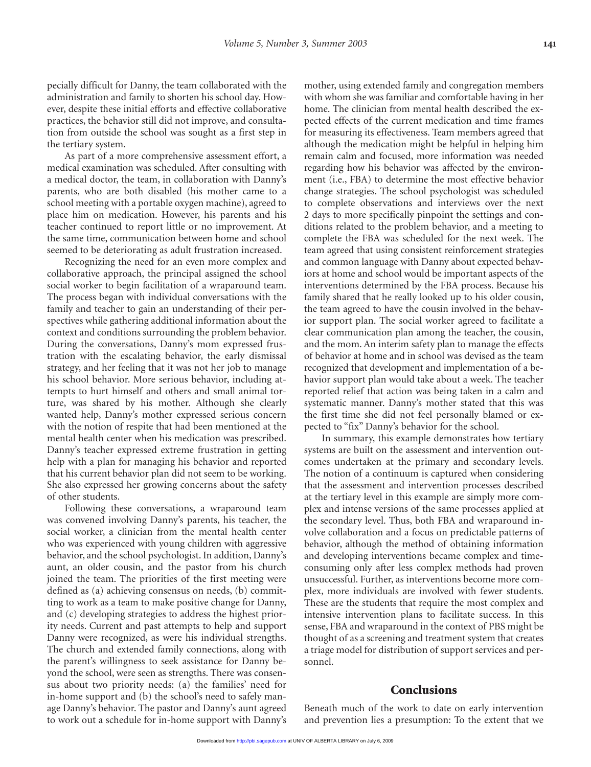pecially difficult for Danny, the team collaborated with the administration and family to shorten his school day. However, despite these initial efforts and effective collaborative practices, the behavior still did not improve, and consultation from outside the school was sought as a first step in the tertiary system.

As part of a more comprehensive assessment effort, a medical examination was scheduled. After consulting with a medical doctor, the team, in collaboration with Danny's parents, who are both disabled (his mother came to a school meeting with a portable oxygen machine), agreed to place him on medication. However, his parents and his teacher continued to report little or no improvement. At the same time, communication between home and school seemed to be deteriorating as adult frustration increased.

Recognizing the need for an even more complex and collaborative approach, the principal assigned the school social worker to begin facilitation of a wraparound team. The process began with individual conversations with the family and teacher to gain an understanding of their perspectives while gathering additional information about the context and conditions surrounding the problem behavior. During the conversations, Danny's mom expressed frustration with the escalating behavior, the early dismissal strategy, and her feeling that it was not her job to manage his school behavior. More serious behavior, including attempts to hurt himself and others and small animal torture, was shared by his mother. Although she clearly wanted help, Danny's mother expressed serious concern with the notion of respite that had been mentioned at the mental health center when his medication was prescribed. Danny's teacher expressed extreme frustration in getting help with a plan for managing his behavior and reported that his current behavior plan did not seem to be working. She also expressed her growing concerns about the safety of other students.

Following these conversations, a wraparound team was convened involving Danny's parents, his teacher, the social worker, a clinician from the mental health center who was experienced with young children with aggressive behavior, and the school psychologist. In addition, Danny's aunt, an older cousin, and the pastor from his church joined the team. The priorities of the first meeting were defined as (a) achieving consensus on needs, (b) committing to work as a team to make positive change for Danny, and (c) developing strategies to address the highest priority needs. Current and past attempts to help and support Danny were recognized, as were his individual strengths. The church and extended family connections, along with the parent's willingness to seek assistance for Danny beyond the school, were seen as strengths. There was consensus about two priority needs: (a) the families' need for in-home support and (b) the school's need to safely manage Danny's behavior. The pastor and Danny's aunt agreed to work out a schedule for in-home support with Danny's mother, using extended family and congregation members with whom she was familiar and comfortable having in her home. The clinician from mental health described the expected effects of the current medication and time frames for measuring its effectiveness. Team members agreed that although the medication might be helpful in helping him remain calm and focused, more information was needed regarding how his behavior was affected by the environment (i.e., FBA) to determine the most effective behavior change strategies. The school psychologist was scheduled to complete observations and interviews over the next 2 days to more specifically pinpoint the settings and conditions related to the problem behavior, and a meeting to complete the FBA was scheduled for the next week. The team agreed that using consistent reinforcement strategies and common language with Danny about expected behaviors at home and school would be important aspects of the interventions determined by the FBA process. Because his family shared that he really looked up to his older cousin, the team agreed to have the cousin involved in the behavior support plan. The social worker agreed to facilitate a clear communication plan among the teacher, the cousin, and the mom. An interim safety plan to manage the effects of behavior at home and in school was devised as the team recognized that development and implementation of a behavior support plan would take about a week. The teacher reported relief that action was being taken in a calm and systematic manner. Danny's mother stated that this was the first time she did not feel personally blamed or expected to "fix" Danny's behavior for the school.

In summary, this example demonstrates how tertiary systems are built on the assessment and intervention outcomes undertaken at the primary and secondary levels. The notion of a continuum is captured when considering that the assessment and intervention processes described at the tertiary level in this example are simply more complex and intense versions of the same processes applied at the secondary level. Thus, both FBA and wraparound involve collaboration and a focus on predictable patterns of behavior, although the method of obtaining information and developing interventions became complex and timeconsuming only after less complex methods had proven unsuccessful. Further, as interventions become more complex, more individuals are involved with fewer students. These are the students that require the most complex and intensive intervention plans to facilitate success. In this sense, FBA and wraparound in the context of PBS might be thought of as a screening and treatment system that creates a triage model for distribution of support services and personnel.

### **Conclusions**

Beneath much of the work to date on early intervention and prevention lies a presumption: To the extent that we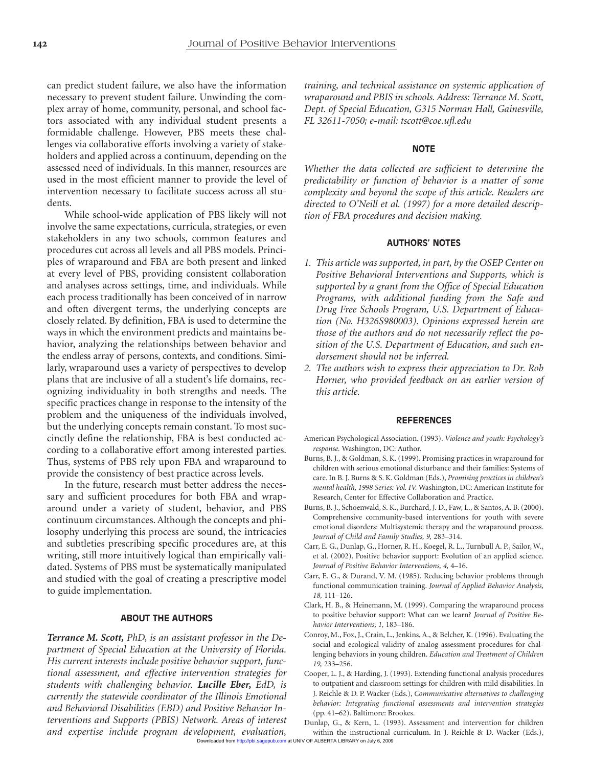can predict student failure, we also have the information necessary to prevent student failure. Unwinding the complex array of home, community, personal, and school factors associated with any individual student presents a formidable challenge. However, PBS meets these challenges via collaborative efforts involving a variety of stakeholders and applied across a continuum, depending on the assessed need of individuals. In this manner, resources are used in the most efficient manner to provide the level of intervention necessary to facilitate success across all students.

While school-wide application of PBS likely will not involve the same expectations, curricula, strategies, or even stakeholders in any two schools, common features and procedures cut across all levels and all PBS models. Principles of wraparound and FBA are both present and linked at every level of PBS, providing consistent collaboration and analyses across settings, time, and individuals. While each process traditionally has been conceived of in narrow and often divergent terms, the underlying concepts are closely related. By definition, FBA is used to determine the ways in which the environment predicts and maintains behavior, analyzing the relationships between behavior and the endless array of persons, contexts, and conditions. Similarly, wraparound uses a variety of perspectives to develop plans that are inclusive of all a student's life domains, recognizing individuality in both strengths and needs. The specific practices change in response to the intensity of the problem and the uniqueness of the individuals involved, but the underlying concepts remain constant. To most succinctly define the relationship, FBA is best conducted according to a collaborative effort among interested parties. Thus, systems of PBS rely upon FBA and wraparound to provide the consistency of best practice across levels.

In the future, research must better address the necessary and sufficient procedures for both FBA and wraparound under a variety of student, behavior, and PBS continuum circumstances. Although the concepts and philosophy underlying this process are sound, the intricacies and subtleties prescribing specific procedures are, at this writing, still more intuitively logical than empirically validated. Systems of PBS must be systematically manipulated and studied with the goal of creating a prescriptive model to guide implementation.

#### **ABOUT THE AUTHORS**

*Terrance M. Scott, PhD, is an assistant professor in the Department of Special Education at the University of Florida. His current interests include positive behavior support, functional assessment, and effective intervention strategies for students with challenging behavior. Lucille Eber, EdD, is currently the statewide coordinator of the Illinois Emotional and Behavioral Disabilities (EBD) and Positive Behavior Interventions and Supports (PBIS) Network. Areas of interest and expertise include program development, [evaluation,](http://pbi.sagepub.com)*

*training, and technical assistance on systemic application of wraparound and PBIS in schools. Address: Terrance M. Scott, Dept. of Special Education, G315 Norman Hall, Gainesville, FL 32611-7050; e-mail: tscott@coe.ufl.edu*

#### **NOTE**

*Whether the data collected are sufficient to determine the predictability or function of behavior is a matter of some complexity and beyond the scope of this article. Readers are directed to O'Neill et al. (1997) for a more detailed description of FBA procedures and decision making.*

#### **AUTHORS' NOTES**

- *1. This article was supported, in part, by the OSEP Center on Positive Behavioral Interventions and Supports, which is supported by a grant from the Office of Special Education Programs, with additional funding from the Safe and Drug Free Schools Program, U.S. Department of Education (No. H326S980003). Opinions expressed herein are those of the authors and do not necessarily reflect the position of the U.S. Department of Education, and such endorsement should not be inferred.*
- *2. The authors wish to express their appreciation to Dr. Rob Horner, who provided feedback on an earlier version of this article.*

#### **REFERENCES**

- American Psychological Association. (1993). *Violence and youth: Psychology's response.* Washington, DC: Author.
- Burns, B. J., & Goldman, S. K. (1999). Promising practices in wraparound for children with serious emotional disturbance and their families: Systems of care. In B. J. Burns & S. K. Goldman (Eds.), *Promising practices in children's mental health, 1998 Series: Vol. IV.* Washington, DC: American Institute for Research, Center for Effective Collaboration and Practice.
- Burns, B. J., Schoenwald, S. K., Burchard, J. D., Faw, L., & Santos, A. B. (2000). Comprehensive community-based interventions for youth with severe emotional disorders: Multisystemic therapy and the wraparound process. *Journal of Child and Family Studies, 9,* 283–314.
- Carr, E. G., Dunlap, G., Horner, R. H., Koegel, R. L., Turnbull A. P., Sailor, W., et al. (2002). Positive behavior support: Evolution of an applied science. *Journal of Positive Behavior Interventions, 4,* 4–16.
- Carr, E. G., & Durand, V. M. (1985). Reducing behavior problems through functional communication training. *Journal of Applied Behavior Analysis, 18,* 111–126.
- Clark, H. B., & Heinemann, M. (1999). Comparing the wraparound process to positive behavior support: What can we learn? *Journal of Positive Behavior Interventions, 1,* 183–186.
- Conroy, M., Fox, J., Crain, L., Jenkins, A., & Belcher, K. (1996). Evaluating the social and ecological validity of analog assessment procedures for challenging behaviors in young children. *Education and Treatment of Children 19,* 233–256.
- Cooper, L. J., & Harding, J. (1993). Extending functional analysis procedures to outpatient and classroom settings for children with mild disabilities. In J. Reichle & D. P. Wacker (Eds.), *Communicative alternatives to challenging behavior: Integrating functional assessments and intervention strategies* (pp. 41–62). Baltimore: Brookes.
- Dunlap, G., & Kern, L. (1993). Assessment and intervention for children within the instructional curriculum. In J. Reichle & D. Wacker (Eds.), n<br>Iloaded from http://pbi.sagepub.com at UNIV OF ALBERTA LIBRARY on July 6, 2009